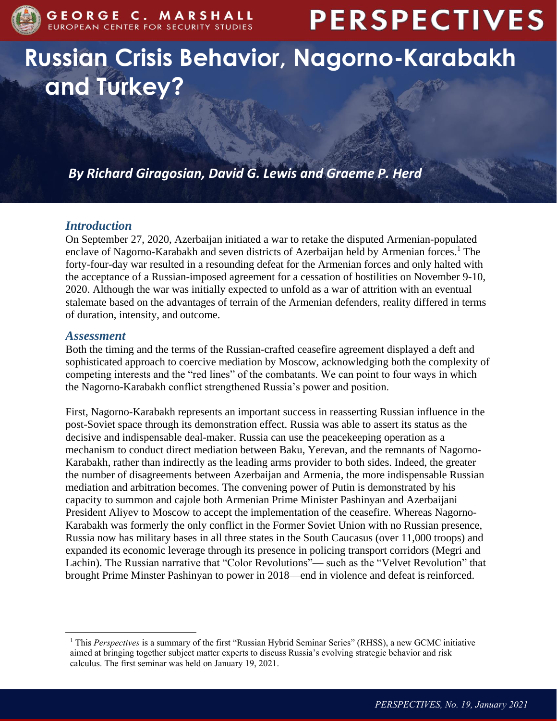

# **PERSPECTIVES**

# **Russian Crisis Behavior, Nagorno-Karabakh and Turkey?**

*By Richard Giragosian, David G. Lewis and Graeme P. Herd*

### *Introduction*

On September 27, 2020, Azerbaijan initiated a war to retake the disputed Armenian-populated enclave of Nagorno-Karabakh and seven districts of Azerbaijan held by Armenian forces.<sup>1</sup> The forty-four-day war resulted in a resounding defeat for the Armenian forces and only halted with the acceptance of a Russian-imposed agreement for a cessation of hostilities on November 9-10, 2020. Although the war was initially expected to unfold as a war of attrition with an eventual stalemate based on the advantages of terrain of the Armenian defenders, reality differed in terms of duration, intensity, and outcome.

#### *Assessment*

 $\overline{a}$ 

Both the timing and the terms of the Russian-crafted ceasefire agreement displayed a deft and sophisticated approach to coercive mediation by Moscow, acknowledging both the complexity of competing interests and the "red lines" of the combatants. We can point to four ways in which the Nagorno-Karabakh conflict strengthened Russia's power and position.

First, Nagorno-Karabakh represents an important success in reasserting Russian influence in the post-Soviet space through its demonstration effect. Russia was able to assert its status as the decisive and indispensable deal-maker. Russia can use the peacekeeping operation as a mechanism to conduct direct mediation between Baku, Yerevan, and the remnants of Nagorno-Karabakh, rather than indirectly as the leading arms provider to both sides. Indeed, the greater the number of disagreements between Azerbaijan and Armenia, the more indispensable Russian mediation and arbitration becomes. The convening power of Putin is demonstrated by his capacity to summon and cajole both Armenian Prime Minister Pashinyan and Azerbaijani President Aliyev to Moscow to accept the implementation of the ceasefire. Whereas Nagorno-Karabakh was formerly the only conflict in the Former Soviet Union with no Russian presence, Russia now has military bases in all three states in the South Caucasus (over 11,000 troops) and expanded its economic leverage through its presence in policing transport corridors (Megri and Lachin). The Russian narrative that "Color Revolutions"— such as the "Velvet Revolution" that brought Prime Minster Pashinyan to power in 2018—end in violence and defeat is reinforced.

<sup>1</sup> This *Perspectives* is a summary of the first "Russian Hybrid Seminar Series" (RHSS), a new GCMC initiative aimed at bringing together subject matter experts to discuss Russia's evolving strategic behavior and risk calculus. The first seminar was held on January 19, 2021.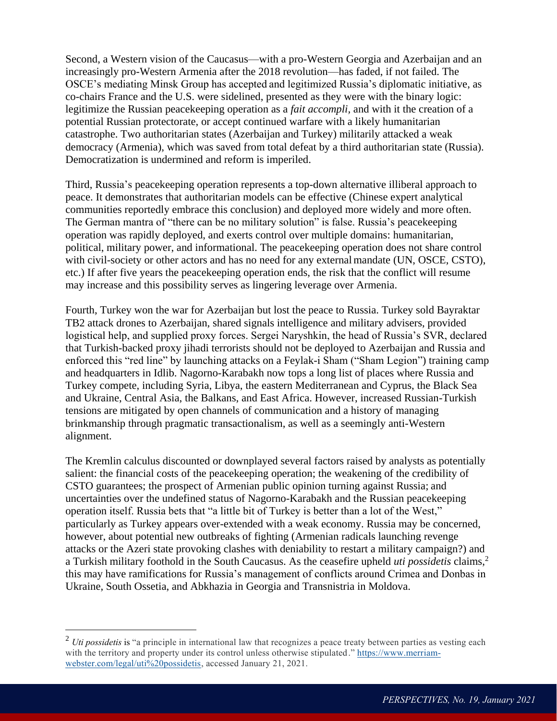Second, a Western vision of the Caucasus—with a pro-Western Georgia and Azerbaijan and an increasingly pro-Western Armenia after the 2018 revolution—has faded, if not failed. The OSCE's mediating Minsk Group has accepted and legitimized Russia's diplomatic initiative, as co-chairs France and the U.S. were sidelined, presented as they were with the binary logic: legitimize the Russian peacekeeping operation as a *fait accompli,* and with it the creation of a potential Russian protectorate, or accept continued warfare with a likely humanitarian catastrophe. Two authoritarian states (Azerbaijan and Turkey) militarily attacked a weak democracy (Armenia), which was saved from total defeat by a third authoritarian state (Russia). Democratization is undermined and reform is imperiled.

Third, Russia's peacekeeping operation represents a top-down alternative illiberal approach to peace. It demonstrates that authoritarian models can be effective (Chinese expert analytical communities reportedly embrace this conclusion) and deployed more widely and more often. The German mantra of "there can be no military solution" is false. Russia's peacekeeping operation was rapidly deployed, and exerts control over multiple domains: humanitarian, political, military power, and informational. The peacekeeping operation does not share control with civil-society or other actors and has no need for any external mandate (UN, OSCE, CSTO), etc.) If after five years the peacekeeping operation ends, the risk that the conflict will resume may increase and this possibility serves as lingering leverage over Armenia.

Fourth, Turkey won the war for Azerbaijan but lost the peace to Russia. Turkey sold Bayraktar TB2 attack drones to Azerbaijan, shared signals intelligence and military advisers, provided logistical help, and supplied proxy forces. Sergei Naryshkin, the head of Russia's SVR, declared that Turkish-backed proxy jihadi terrorists should not be deployed to Azerbaijan and Russia and enforced this "red line" by launching attacks on a Feylak-i Sham ("Sham Legion") training camp and headquarters in Idlib. Nagorno-Karabakh now tops a long list of places where Russia and Turkey compete, including Syria, Libya, the eastern Mediterranean and Cyprus, the Black Sea and Ukraine, Central Asia, the Balkans, and East Africa. However, increased Russian-Turkish tensions are mitigated by open channels of communication and a history of managing brinkmanship through pragmatic transactionalism, as well as a seemingly anti-Western alignment.

The Kremlin calculus discounted or downplayed several factors raised by analysts as potentially salient: the financial costs of the peacekeeping operation; the weakening of the credibility of CSTO guarantees; the prospect of Armenian public opinion turning against Russia; and uncertainties over the undefined status of Nagorno-Karabakh and the Russian peacekeeping operation itself. Russia bets that "a little bit of Turkey is better than a lot of the West," particularly as Turkey appears over-extended with a weak economy. Russia may be concerned, however, about potential new outbreaks of fighting (Armenian radicals launching revenge attacks or the Azeri state provoking clashes with deniability to restart a military campaign?) and a Turkish military foothold in the South Caucasus. As the ceasefire upheld *uti possidetis* claims,<sup>2</sup> this may have ramifications for Russia's management of conflicts around Crimea and Donbas in Ukraine, South Ossetia, and Abkhazia in Georgia and Transnistria in Moldova.

 $\overline{a}$ 

<sup>&</sup>lt;sup>2</sup> *Uti possidetis* is "a principle in international law that recognizes a peace treaty between parties as vesting each with the territory and property under its control unless otherwise stipulated." [https://www.merriam](https://www.merriam-webster.com/legal/uti%20possidetis)[webster.com/legal/uti%20possidetis,](https://www.merriam-webster.com/legal/uti%20possidetis) accessed January 21, 2021.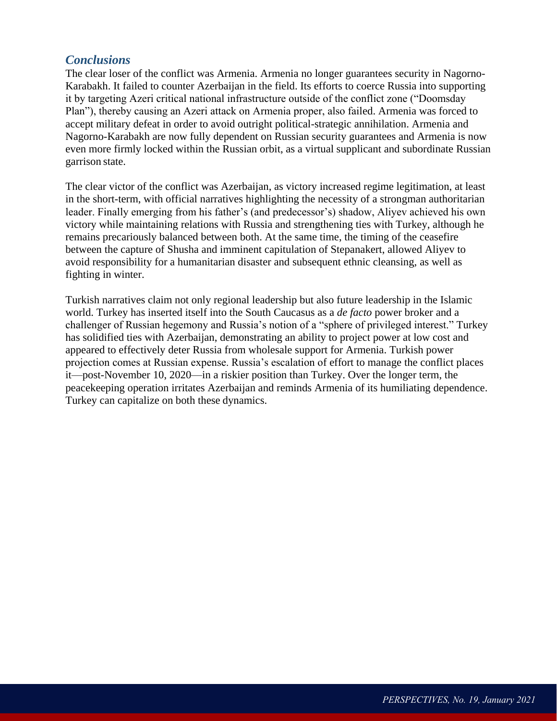#### *Conclusions*

The clear loser of the conflict was Armenia. Armenia no longer guarantees security in Nagorno-Karabakh. It failed to counter Azerbaijan in the field. Its efforts to coerce Russia into supporting it by targeting Azeri critical national infrastructure outside of the conflict zone ("Doomsday Plan"), thereby causing an Azeri attack on Armenia proper, also failed. Armenia was forced to accept military defeat in order to avoid outright political-strategic annihilation. Armenia and Nagorno-Karabakh are now fully dependent on Russian security guarantees and Armenia is now even more firmly locked within the Russian orbit, as a virtual supplicant and subordinate Russian garrison state.

The clear victor of the conflict was Azerbaijan, as victory increased regime legitimation, at least in the short-term, with official narratives highlighting the necessity of a strongman authoritarian leader. Finally emerging from his father's (and predecessor's) shadow, Aliyev achieved his own victory while maintaining relations with Russia and strengthening ties with Turkey, although he remains precariously balanced between both. At the same time, the timing of the ceasefire between the capture of Shusha and imminent capitulation of Stepanakert, allowed Aliyev to avoid responsibility for a humanitarian disaster and subsequent ethnic cleansing, as well as fighting in winter.

Turkish narratives claim not only regional leadership but also future leadership in the Islamic world. Turkey has inserted itself into the South Caucasus as a *de facto* power broker and a challenger of Russian hegemony and Russia's notion of a "sphere of privileged interest." Turkey has solidified ties with Azerbaijan, demonstrating an ability to project power at low cost and appeared to effectively deter Russia from wholesale support for Armenia. Turkish power projection comes at Russian expense. Russia's escalation of effort to manage the conflict places it—post-November 10, 2020—in a riskier position than Turkey. Over the longer term, the peacekeeping operation irritates Azerbaijan and reminds Armenia of its humiliating dependence. Turkey can capitalize on both these dynamics.